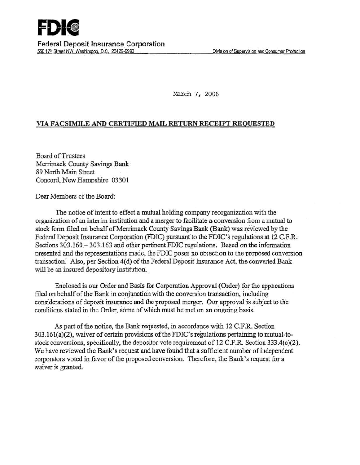March 7, 2006

## VIA FACSIMILE AND CERTIFIED MAIL RETIJRN RECEIPT REQUESTED

Board of Trustees Merrimack County Savings Bank· 89 North Main Street Concord. New Hamoshire 03301

Dear Members of the Board:

The notice of intent to effect a mutual holding company reorganization with the organization of an interim institution and a merger to facilitate a-conversion from a mutual to stock form filed on behalf of Merrimack County Savings Bank (Bank) was reviewed by the Federal Deposit Insurance Corporation (FDIC) pursuant to the FDIC's regulations at 12 C.F.R. Sections 303.160 - 303.163 and other pertinent FDIC regulations. Based on the information presented and the representations made, the FDIC poses no objection to the proposed conversion transaction. Also, per Section 4(d) of the Federal Deposit Insurance Act, the converted Bank will be an insured depository institution.

Enclosed is our Order and Basis for Corporation Approval (Order) for the applications filed on behalf of the Bank in conjunction with the conversion transaction, including considerations of deposit insurance and the proposed merger. Our approval is subject to the conditions stated in the Order, some of which must be met on an ongoing basis.

As part of the notice, the Bank requested, in accordance with 12 C.F.R. Section  $303.161(a)(2)$ , waiver of certain provisions of the FDIC's regulations pertaining to mutual-tostock conversions, specifically, the depositor vote requirement of 12 C.F.R. Section  $333.4(c)(2)$ . We have reviewed the Bank's request and have found that a sufficient number of independent corporators voted in favor of the proposed conversion. Therefore, the Bank's request for a waiver is granted.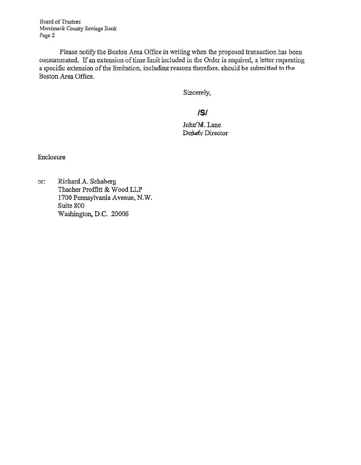Board of Trustees Merrimack County Savings Bank Page 2

Please notify the Boston Area Office in writing when the proposed transaction has been consummated. If an extension of time limit included in the Order is required, a letter requesting a specific extension of the limitation, including reasons therefore, should be submitted to the Boston Area Office.

Sincerely,

# **lSI**

John M. Lane Deputy Director

Enclosure

cc: Richard.A. Schaberg Thacher Proffitt & Wood.LLP 1700 Pennsylvania Avenue, N.W. Suite 800 Washington, D.C. 20006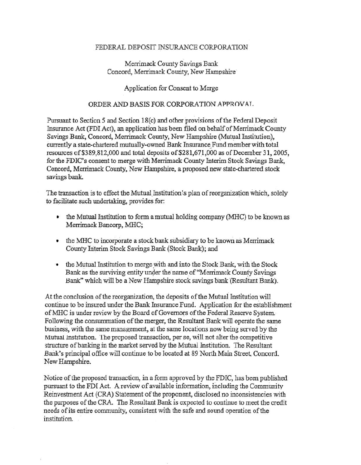#### FEDERAL DEPOSIT INSURANCE CORPORATION

## Merrimack County Savings Bank Concord, Merrimack Comity, New Hampshire·

### Application for Consent to Merge

#### ORDER AND BASIS FOR CORPORATION A PPROV AT.

Pursuant to Section 5 and Section 18(c) and other provisions of the Federal Deposit Insurance Act (FDI Act), an application has been filed on behalf of Merrimack County Savings Bank, Concord, Merrimack County, New Hampshire (Mutual Institution), currently a state-chartered mutually-owned Bank Insurance Fund member with total resources of \$389,812,000 and total deposits of \$281,671,000 as of December 31, 2005, for the FDIC's consent to merge with Merrimack County Interim Stock Savings Bank, Concord, Merrimack County, New Hampshire, a proposed new state-chartered stock savings bank.

The transaction is to effect the Mutual Institution's plan of reorganization which, solely to facilitate such undertaking, provides for:

- the Mutual Institution to form a mutual holding company (MHC) to be known as Merrimack Bancorp, MHC;
- the MHC to incorporate a stock bank subsidiary to be known as Merrimack County Interim Stock Savings Bank (Stock Bank); and
- the Mutual Institution to merge with and into the Stock Bank, with the Stock Bank as the surviving entity under the name of "Merrimack County Savings" Bank" which will be a New Hampshire stock savings bank '(Resuitant Bank).

At the conclusion of the reorganization, the deposits of the Mutual Institution will contmue to be insured under the Bank Insurance Fund. Application for the establishment of MHC is under review by the Board of Governors of the Federal Reserve System. Following the consummation of the merger, the Resultant Bank will operate the same business; with the same management, at the same locations now being served by the Mutual Institution. The proposed transaction, per se, will not alter the competitive structure of banking in the market served by the Mutual Institution. The Resultant Bank's principal office will continue to be located at 89 North Main Street, Concord. New Hampshire.

Notice of the proposed transaction, in a form approved by the FDIC, has been published pursuant to the FDI Act. A review of available information, including the Community Reinvestment Act (CRA) Statement of the proponent, disclosed no inconsistencies with the purposes of the CRA. The Resultant Bank is expected to continue to meet the credit needs of its entire community, consistent with the safe and sound operation of the institution.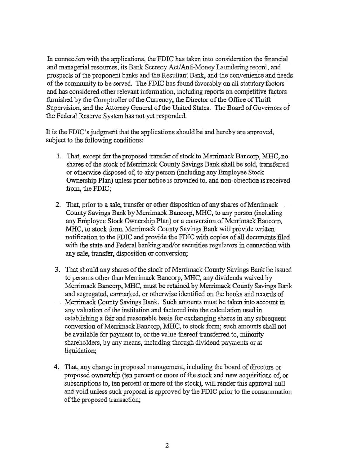In connection with the applications, the FDIC has taken into consideration the financial and managerial resources, its Bank Secrecy Act/ Anti-Money Laundering record, and prospects of the proponent banks and the Resultant Bank, and the converuence and needs of the community to be served. The FDIC has found favorably on.all statutory factors and has considered other relevant information, including reports on competitive factors furnished by the Comptroller of the Currency, the Director of the Office of Thrift Supervision, and the Attorney General of the United States. The Board of Governors of the Federal Reserve System has not yet responded.

It is the FDIC's judgment that the applications should be and hereby are approved. subject to the following conditions:

- 1. That, except for the proposed transfer of stock to Merrimack Bancorp, MHC,.no shares of the stock of Merrimack County Savings Bank shall be sold, transferred or otherwise disposed of, to any person (including any Employee Stock Ownership Plan) unless prior notice is provided to, and non-obiection is received from, the FDIC;
- 2. That, prior to a sale, transfer or other disposition of any shares of Merrimack County Savings Bank by Merrimack Bancorp, MHC, to any person (including any Employee Stock Ownership Plan) or a conversion of Merrimack Bancorp, MHC, to stock form. Merrimack County Savings Bank will provide written notification to the FDIC and provide the FDIC with copies of all documents filed with the state and Federal banking and/or securities regulators in connection with any sale, transfer, disposition or conversion;
- 3. That should any shares of the stock of Merrimack County Savings Bank be issued to persons other than Merrimack Bancorp, MHC, any dividends waived by Merrimack Bancorp, MHC, must be retained by Merrimack County Savings Bank and segregated, earmarked, or otherwise identified on the books and records of Merrimack County Savings Bank. Such amounts must be taken into account in any valuation of the institution and factored into the calculation used in establishing a fair and reasonable basis for exchanging shares in any subsequent conversion of Merrimack Bancorp, MHC, to stock form; such amounts shall not be available for payment to, or the value thereof transferred to, minority shareholders, by any means, including through dividend payments or at liquidation;
- 4. That, any change in proposed management, including the board of directors or proposed ownership (ten percent or more of the stock and new acquisitions of, or subscriptions to, ten percent or more of the stock), will render this approval null and void unless such proposal is approved by the FDIC prior to the consummation of the proposed transaction;